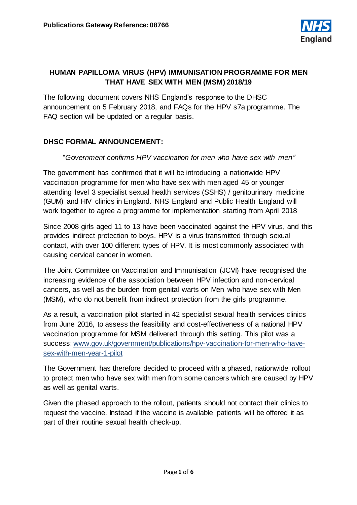

# **HUMAN PAPILLOMA VIRUS (HPV) IMMUNISATION PROGRAMME FOR MEN THAT HAVE SEX WITH MEN (MSM) 2018/19**

The following document covers NHS England's response to the DHSC announcement on 5 February 2018, and FAQs for the HPV s7a programme. The FAQ section will be updated on a regular basis.

# **DHSC FORMAL ANNOUNCEMENT:**

#### "*Government confirms HPV vaccination for men who have sex with men"*

The government has confirmed that it will be introducing a nationwide HPV vaccination programme for men who have sex with men aged 45 or younger attending level 3 specialist sexual health services (SSHS) / genitourinary medicine (GUM) and HIV clinics in England. NHS England and Public Health England will work together to agree a programme for implementation starting from April 2018

Since 2008 girls aged 11 to 13 have been vaccinated against the HPV virus, and this provides indirect protection to boys. HPV is a virus transmitted through sexual contact, with over 100 different types of HPV. It is most commonly associated with causing cervical cancer in women.

The Joint Committee on Vaccination and Immunisation (JCVI) have recognised the increasing evidence of the association between HPV infection and non-cervical cancers, as well as the burden from genital warts on Men who have sex with Men (MSM), who do not benefit from indirect protection from the girls programme.

As a result, a vaccination pilot started in 42 specialist sexual health services clinics from June 2016, to assess the feasibility and cost-effectiveness of a national HPV vaccination programme for MSM delivered through this setting. This pilot was a success[: www.gov.uk/government/publications/hpv-vaccination-for-men-who-have](http://www.gov.uk/government/publications/hpv-vaccination-for-men-who-have-sex-with-men-year-1-pilot)[sex-with-men-year-1-pilot](http://www.gov.uk/government/publications/hpv-vaccination-for-men-who-have-sex-with-men-year-1-pilot)

The Government has therefore decided to proceed with a phased, nationwide rollout to protect men who have sex with men from some cancers which are caused by HPV as well as genital warts.

Given the phased approach to the rollout, patients should not contact their clinics to request the vaccine. Instead if the vaccine is available patients will be offered it as part of their routine sexual health check-up.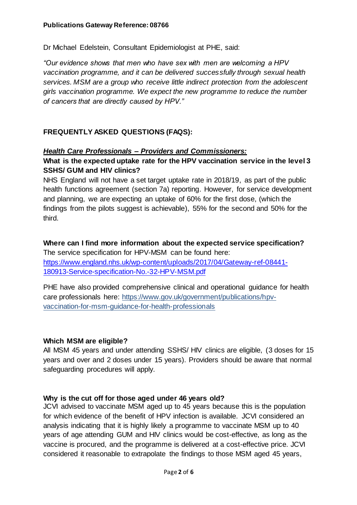Dr Michael Edelstein, Consultant Epidemiologist at PHE, said:

*"Our evidence shows that men who have sex with men are welcoming a HPV vaccination programme, and it can be delivered successfully through sexual health services. MSM are a group who receive little indirect protection from the adolescent girls vaccination programme. We expect the new programme to reduce the number of cancers that are directly caused by HPV."*

# **FREQUENTLY ASKED QUESTIONS (FAQS):**

#### *Health Care Professionals – Providers and Commissioners:*

## **What is the expected uptake rate for the HPV vaccination service in the level 3 SSHS/ GUM and HIV clinics?**

NHS England will not have a set target uptake rate in 2018/19, as part of the public health functions agreement (section 7a) reporting. However, for service development and planning, we are expecting an uptake of 60% for the first dose, (which the findings from the pilots suggest is achievable), 55% for the second and 50% for the third.

# **Where can I find more information about the expected service specification?** The service specification for HPV-MSM can be found here: [https://www.england.nhs.uk/wp-content/uploads/2017/04/Gateway-ref-08441-](https://www.england.nhs.uk/wp-content/uploads/2017/04/Gateway-ref-08441-180913-Service-specification-No.-32-HPV-MSM.pdf) [180913-Service-specification-No.-32-HPV-MSM.pdf](https://www.england.nhs.uk/wp-content/uploads/2017/04/Gateway-ref-08441-180913-Service-specification-No.-32-HPV-MSM.pdf)

PHE have also provided comprehensive clinical and operational guidance for health care professionals here: [https://www.gov.uk/government/publications/hpv](https://www.gov.uk/government/publications/hpv-vaccination-for-msm-guidance-for-health-professionals)[vaccination-for-msm-guidance-for-health-professionals](https://www.gov.uk/government/publications/hpv-vaccination-for-msm-guidance-for-health-professionals)

## **Which MSM are eligible?**

All MSM 45 years and under attending SSHS/ HIV clinics are eligible, (3 doses for 15 years and over and 2 doses under 15 years). Providers should be aware that normal safeguarding procedures will apply.

## **Why is the cut off for those aged under 46 years old?**

JCVI advised to vaccinate MSM aged up to 45 years because this is the population for which evidence of the benefit of HPV infection is available. JCVI considered an analysis indicating that it is highly likely a programme to vaccinate MSM up to 40 years of age attending GUM and HIV clinics would be cost-effective, as long as the vaccine is procured, and the programme is delivered at a cost-effective price. JCVI considered it reasonable to extrapolate the findings to those MSM aged 45 years,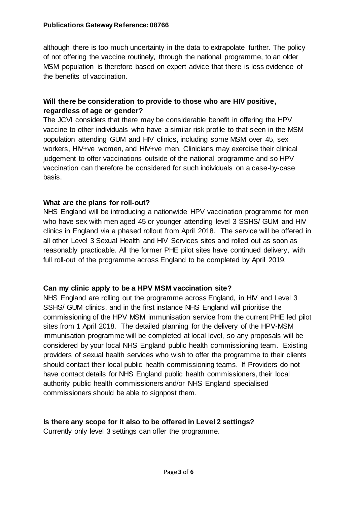#### **Publications Gateway Reference: 08766**

although there is too much uncertainty in the data to extrapolate further. The policy of not offering the vaccine routinely, through the national programme, to an older MSM population is therefore based on expert advice that there is less evidence of the benefits of vaccination.

## **Will there be consideration to provide to those who are HIV positive, regardless of age or gender?**

The JCVI considers that there may be considerable benefit in offering the HPV vaccine to other individuals who have a similar risk profile to that seen in the MSM population attending GUM and HIV clinics, including some MSM over 45, sex workers, HIV+ve women, and HIV+ve men. Clinicians may exercise their clinical judgement to offer vaccinations outside of the national programme and so HPV vaccination can therefore be considered for such individuals on a case-by-case basis.

#### **What are the plans for roll-out?**

NHS England will be introducing a nationwide HPV vaccination programme for men who have sex with men aged 45 or younger attending level 3 SSHS/ GUM and HIV clinics in England via a phased rollout from April 2018. The service will be offered in all other Level 3 Sexual Health and HIV Services sites and rolled out as soon as reasonably practicable. All the former PHE pilot sites have continued delivery, with full roll-out of the programme across England to be completed by April 2019.

## **Can my clinic apply to be a HPV MSM vaccination site?**

NHS England are rolling out the programme across England, in HIV and Level 3 SSHS/ GUM clinics, and in the first instance NHS England will prioritise the commissioning of the HPV MSM immunisation service from the current PHE led pilot sites from 1 April 2018. The detailed planning for the delivery of the HPV-MSM immunisation programme will be completed at local level, so any proposals will be considered by your local NHS England public health commissioning team. Existing providers of sexual health services who wish to offer the programme to their clients should contact their local public health commissioning teams. If Providers do not have contact details for NHS England public health commissioners, their local authority public health commissioners and/or NHS England specialised commissioners should be able to signpost them.

#### **Is there any scope for it also to be offered in Level 2 settings?**

Currently only level 3 settings can offer the programme.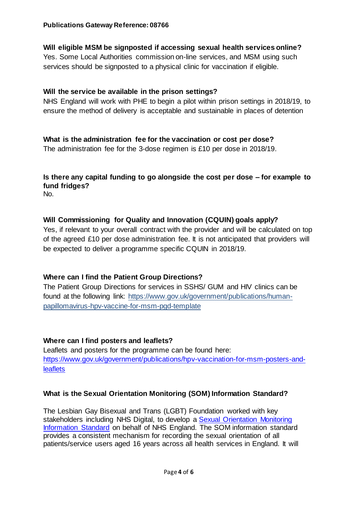# **Will eligible MSM be signposted if accessing sexual health services online?**

Yes. Some Local Authorities commission on-line services, and MSM using such services should be signposted to a physical clinic for vaccination if eligible.

## **Will the service be available in the prison settings?**

NHS England will work with PHE to begin a pilot within prison settings in 2018/19, to ensure the method of delivery is acceptable and sustainable in places of detention

## **What is the administration fee for the vaccination or cost per dose?**

The administration fee for the 3-dose regimen is £10 per dose in 2018/19.

# **Is there any capital funding to go alongside the cost per dose – for example to fund fridges?**

No.

## **Will Commissioning for Quality and Innovation (CQUIN) goals apply?**

Yes, if relevant to your overall contract with the provider and will be calculated on top of the agreed £10 per dose administration fee. It is not anticipated that providers will be expected to deliver a programme specific CQUIN in 2018/19.

## **Where can I find the Patient Group Directions?**

The Patient Group Directions for services in SSHS/ GUM and HIV clinics can be found at the following link: https://www.gov.uk/government/publications/humanpapillomavirus-hpv-vaccine-for-msm-pgd-template

## **Where can I find posters and leaflets?**

Leaflets and posters for the programme can be found here: [https://www.gov.uk/government/publications/hpv-vaccination-for-msm-posters-and](https://www.gov.uk/government/publications/hpv-vaccination-for-msm-posters-and-leaflets)**[leaflets](https://www.gov.uk/government/publications/hpv-vaccination-for-msm-posters-and-leaflets)** 

## **What is the Sexual Orientation Monitoring (SOM) Information Standard?**

The Lesbian Gay Bisexual and Trans (LGBT) Foundation worked with key stakeholders including NHS Digital, to develop a [Sexual Orientation Monitoring](https://www.england.nhs.uk/publication/sexual-orientation-monitoring-full-specification/)  [Information Standard](https://www.england.nhs.uk/publication/sexual-orientation-monitoring-full-specification/) on behalf of NHS England. The SOM information standard provides a consistent mechanism for recording the sexual orientation of all patients/service users aged 16 years across all health services in England. It will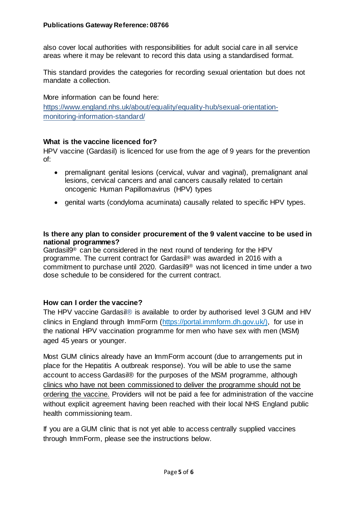also cover local authorities with responsibilities for adult social care in all service areas where it may be relevant to record this data using a standardised format.

This standard provides the categories for recording sexual orientation but does not mandate a collection.

More information can be found here:

https://www.england.nhs.uk/about/equality/equality-hub/sexual-orientationmonitoring-information-standard/

#### **What is the vaccine licenced for?**

HPV vaccine (Gardasil) is licenced for use from the age of 9 years for the prevention of:

- premalignant genital lesions (cervical, vulvar and vaginal), premalignant anal lesions, cervical cancers and anal cancers causally related to certain oncogenic Human Papillomavirus (HPV) types
- genital warts (condyloma acuminata) causally related to specific HPV types.

#### **Is there any plan to consider procurement of the 9 valent vaccine to be used in national programmes?**

Gardasil9® can be considered in the next round of tendering for the HPV programme. The current contract for Gardasil® was awarded in 2016 with a commitment to purchase until 2020. Gardasil9® was not licenced in time under a two dose schedule to be considered for the current contract.

## **How can I order the vaccine?**

The HPV vaccine Gardasil® is available to order by authorised level 3 GUM and HIV clinics in England through ImmForm [\(https://portal.immform.dh.gov.uk/\),](https://portal.immform.dh.gov.uk/) for use in the national HPV vaccination programme for men who have sex with men (MSM) aged 45 years or younger.

Most GUM clinics already have an ImmForm account (due to arrangements put in place for the Hepatitis A outbreak response). You will be able to use the same account to access Gardasil® for the purposes of the MSM programme, although clinics who have not been commissioned to deliver the programme should not be ordering the vaccine. Providers will not be paid a fee for administration of the vaccine without explicit agreement having been reached with their local NHS England public health commissioning team.

If you are a GUM clinic that is not yet able to access centrally supplied vaccines through ImmForm, please see the instructions below.